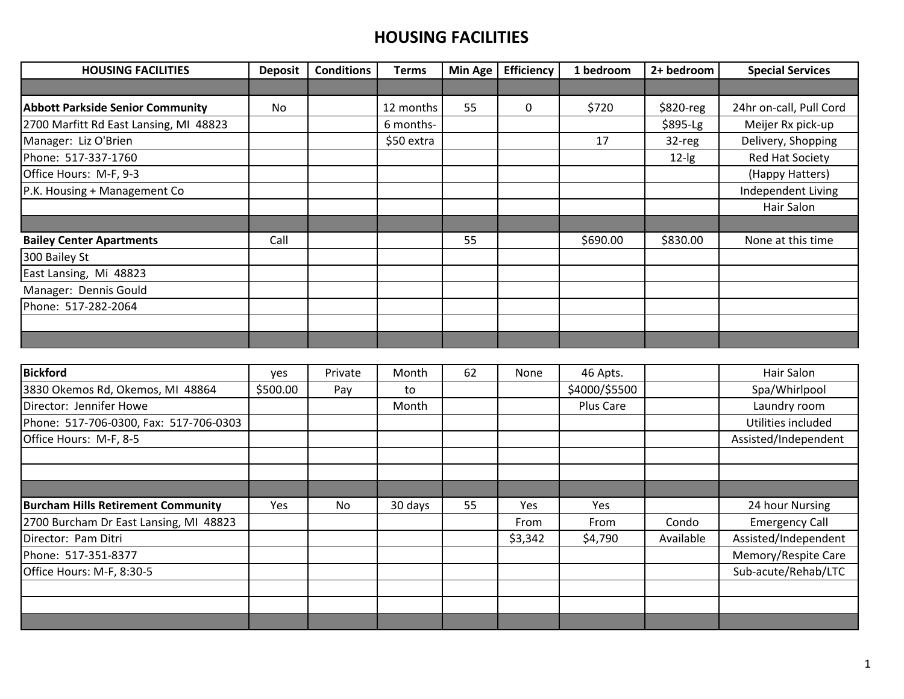| <b>HOUSING FACILITIES</b>               | <b>Deposit</b> | <b>Conditions</b> | Terms      | <b>Min Age</b> | <b>Efficiency</b> | 1 bedroom | 2+ bedroom | <b>Special Services</b> |
|-----------------------------------------|----------------|-------------------|------------|----------------|-------------------|-----------|------------|-------------------------|
|                                         |                |                   |            |                |                   |           |            |                         |
| <b>Abbott Parkside Senior Community</b> | <b>No</b>      |                   | 12 months  | 55             | $\Omega$          | \$720     | $$820-reg$ | 24hr on-call, Pull Cord |
| 2700 Marfitt Rd East Lansing, MI 48823  |                |                   | 6 months-  |                |                   |           | \$895-Lg   | Meijer Rx pick-up       |
| Manager: Liz O'Brien                    |                |                   | \$50 extra |                |                   | 17        | 32-reg     | Delivery, Shopping      |
| Phone: 517-337-1760                     |                |                   |            |                |                   |           | $12$ -lg   | <b>Red Hat Society</b>  |
| Office Hours: M-F, 9-3                  |                |                   |            |                |                   |           |            | (Happy Hatters)         |
| P.K. Housing + Management Co            |                |                   |            |                |                   |           |            | Independent Living      |
|                                         |                |                   |            |                |                   |           |            | Hair Salon              |
|                                         |                |                   |            |                |                   |           |            |                         |
| <b>Bailey Center Apartments</b>         | Call           |                   |            | 55             |                   | \$690.00  | \$830.00   | None at this time       |
| 300 Bailey St                           |                |                   |            |                |                   |           |            |                         |
| East Lansing, Mi 48823                  |                |                   |            |                |                   |           |            |                         |
| Manager: Dennis Gould                   |                |                   |            |                |                   |           |            |                         |
| Phone: 517-282-2064                     |                |                   |            |                |                   |           |            |                         |
|                                         |                |                   |            |                |                   |           |            |                         |
|                                         |                |                   |            |                |                   |           |            |                         |

| <b>Bickford</b>                           | ves      | Private | Month   | 62 | None        | 46 Apts.      |           | Hair Salon            |
|-------------------------------------------|----------|---------|---------|----|-------------|---------------|-----------|-----------------------|
| 3830 Okemos Rd, Okemos, MI 48864          | \$500.00 | Pay     | to      |    |             | \$4000/\$5500 |           | Spa/Whirlpool         |
| Director: Jennifer Howe                   |          |         | Month   |    |             | Plus Care     |           | Laundry room          |
| Phone: 517-706-0300, Fax: 517-706-0303    |          |         |         |    |             |               |           | Utilities included    |
| Office Hours: M-F, 8-5                    |          |         |         |    |             |               |           | Assisted/Independent  |
|                                           |          |         |         |    |             |               |           |                       |
|                                           |          |         |         |    |             |               |           |                       |
|                                           |          |         |         |    |             |               |           |                       |
| <b>Burcham Hills Retirement Community</b> | Yes      | No      | 30 days | 55 | Yes         | Yes           |           | 24 hour Nursing       |
| 2700 Burcham Dr East Lansing, MI 48823    |          |         |         |    | <b>From</b> | From          | Condo     | <b>Emergency Call</b> |
| Director: Pam Ditri                       |          |         |         |    | \$3,342     | \$4,790       | Available | Assisted/Independent  |
| Phone: 517-351-8377                       |          |         |         |    |             |               |           | Memory/Respite Care   |
| Office Hours: M-F, 8:30-5                 |          |         |         |    |             |               |           | Sub-acute/Rehab/LTC   |
|                                           |          |         |         |    |             |               |           |                       |
|                                           |          |         |         |    |             |               |           |                       |
|                                           |          |         |         |    |             |               |           |                       |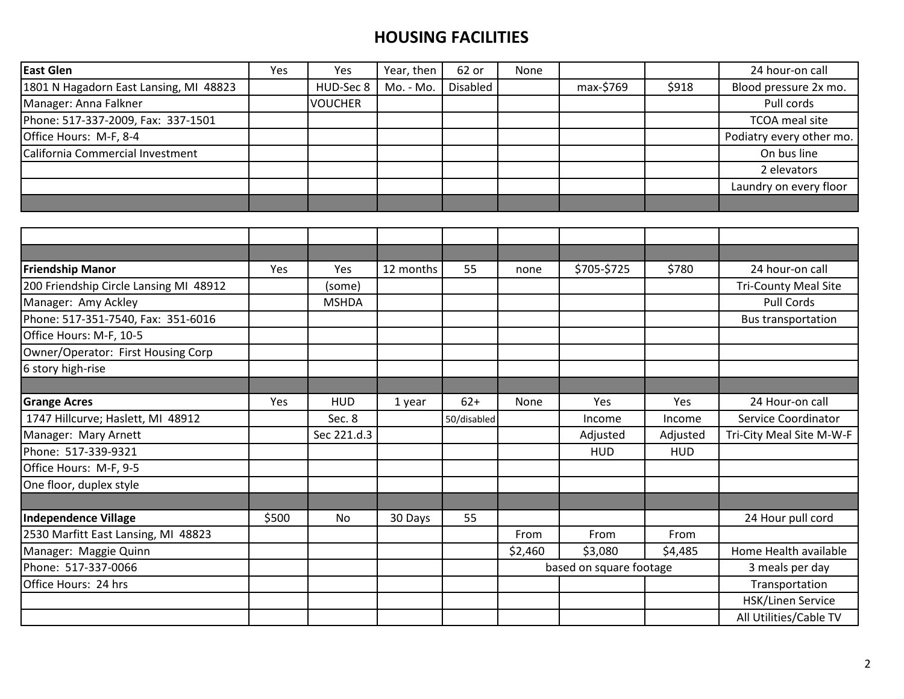| <b>East Glen</b>                       | Yes | <b>Yes</b>     | Year, then | 62 or    | None |           |       | 24 hour-on call          |
|----------------------------------------|-----|----------------|------------|----------|------|-----------|-------|--------------------------|
| 1801 N Hagadorn East Lansing, MI 48823 |     | HUD-Sec 8      | Mo. - Mo.  | Disabled |      | max-\$769 | \$918 | Blood pressure 2x mo.    |
| Manager: Anna Falkner                  |     | <b>VOUCHER</b> |            |          |      |           |       | Pull cords               |
| Phone: 517-337-2009, Fax: 337-1501     |     |                |            |          |      |           |       | TCOA meal site           |
| Office Hours: M-F, 8-4                 |     |                |            |          |      |           |       | Podiatry every other mo. |
| California Commercial Investment       |     |                |            |          |      |           |       | On bus line              |
|                                        |     |                |            |          |      |           |       | 2 elevators              |
|                                        |     |                |            |          |      |           |       | Laundry on every floor   |
|                                        |     |                |            |          |      |           |       |                          |

| <b>Friendship Manor</b>                | Yes   | Yes          | 12 months | 55          | none    | \$705-\$725             | \$780      | 24 hour-on call             |
|----------------------------------------|-------|--------------|-----------|-------------|---------|-------------------------|------------|-----------------------------|
| 200 Friendship Circle Lansing MI 48912 |       | (some)       |           |             |         |                         |            | <b>Tri-County Meal Site</b> |
| Manager: Amy Ackley                    |       | <b>MSHDA</b> |           |             |         |                         |            | <b>Pull Cords</b>           |
| Phone: 517-351-7540, Fax: 351-6016     |       |              |           |             |         |                         |            | <b>Bus transportation</b>   |
| Office Hours: M-F, 10-5                |       |              |           |             |         |                         |            |                             |
| Owner/Operator: First Housing Corp     |       |              |           |             |         |                         |            |                             |
| 6 story high-rise                      |       |              |           |             |         |                         |            |                             |
|                                        |       |              |           |             |         |                         |            |                             |
| <b>Grange Acres</b>                    | Yes   | <b>HUD</b>   | 1 year    | $62+$       | None    | Yes                     | Yes        | 24 Hour-on call             |
| 1747 Hillcurve; Haslett, MI 48912      |       | Sec. 8       |           | 50/disabled |         | Income                  | Income     | Service Coordinator         |
| Manager: Mary Arnett                   |       | Sec 221.d.3  |           |             |         | Adjusted                | Adjusted   | Tri-City Meal Site M-W-F    |
| Phone: 517-339-9321                    |       |              |           |             |         | <b>HUD</b>              | <b>HUD</b> |                             |
| Office Hours: M-F, 9-5                 |       |              |           |             |         |                         |            |                             |
| One floor, duplex style                |       |              |           |             |         |                         |            |                             |
|                                        |       |              |           |             |         |                         |            |                             |
| Independence Village                   | \$500 | No           | 30 Days   | 55          |         |                         |            | 24 Hour pull cord           |
| 2530 Marfitt East Lansing, MI 48823    |       |              |           |             | From    | From                    | From       |                             |
| Manager: Maggie Quinn                  |       |              |           |             | \$2,460 | \$3,080                 | \$4,485    | Home Health available       |
| Phone: 517-337-0066                    |       |              |           |             |         | based on square footage |            | 3 meals per day             |
| Office Hours: 24 hrs                   |       |              |           |             |         |                         |            | Transportation              |
|                                        |       |              |           |             |         |                         |            | <b>HSK/Linen Service</b>    |
|                                        |       |              |           |             |         |                         |            | All Utilities/Cable TV      |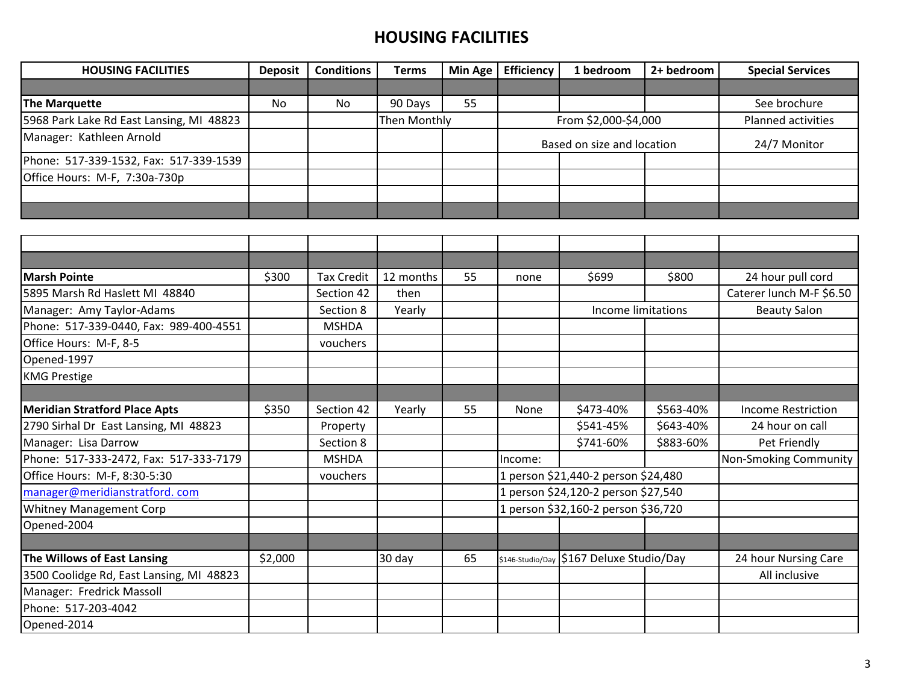| <b>HOUSING FACILITIES</b>                | <b>Deposit</b> | <b>Conditions</b> | <b>Terms</b> | <b>Min Age</b> | <b>Efficiency</b>          | 1 bedroom                                | 2+ bedroom | <b>Special Services</b>      |
|------------------------------------------|----------------|-------------------|--------------|----------------|----------------------------|------------------------------------------|------------|------------------------------|
|                                          |                |                   |              |                |                            |                                          |            |                              |
| The Marquette                            | <b>No</b>      | <b>No</b>         | 90 Days      | 55             |                            |                                          |            | See brochure                 |
| 5968 Park Lake Rd East Lansing, MI 48823 |                |                   | Then Monthly |                | From \$2,000-\$4,000       |                                          |            | Planned activities           |
| Manager: Kathleen Arnold                 |                |                   |              |                | Based on size and location |                                          |            | 24/7 Monitor                 |
| Phone: 517-339-1532, Fax: 517-339-1539   |                |                   |              |                |                            |                                          |            |                              |
| Office Hours: M-F, 7:30a-730p            |                |                   |              |                |                            |                                          |            |                              |
|                                          |                |                   |              |                |                            |                                          |            |                              |
|                                          |                |                   |              |                |                            |                                          |            |                              |
|                                          |                |                   |              |                |                            |                                          |            |                              |
|                                          |                |                   |              |                |                            |                                          |            |                              |
|                                          |                |                   |              |                |                            |                                          |            |                              |
| <b>Marsh Pointe</b>                      | \$300          | <b>Tax Credit</b> | 12 months    | 55             | none                       | \$699                                    | \$800      | 24 hour pull cord            |
| 5895 Marsh Rd Haslett MI 48840           |                | Section 42        | then         |                |                            |                                          |            | Caterer lunch M-F \$6.50     |
| Manager: Amy Taylor-Adams                |                | Section 8         | Yearly       |                |                            | Income limitations                       |            | <b>Beauty Salon</b>          |
| Phone: 517-339-0440, Fax: 989-400-4551   |                | <b>MSHDA</b>      |              |                |                            |                                          |            |                              |
| Office Hours: M-F, 8-5                   |                | vouchers          |              |                |                            |                                          |            |                              |
| Opened-1997                              |                |                   |              |                |                            |                                          |            |                              |
| <b>KMG Prestige</b>                      |                |                   |              |                |                            |                                          |            |                              |
|                                          |                |                   |              |                |                            |                                          |            |                              |
| <b>Meridian Stratford Place Apts</b>     | \$350          | Section 42        | Yearly       | 55             | None                       | \$473-40%                                | \$563-40%  | <b>Income Restriction</b>    |
| 2790 Sirhal Dr East Lansing, MI 48823    |                | Property          |              |                |                            | \$541-45%                                | \$643-40%  | 24 hour on call              |
| Manager: Lisa Darrow                     |                | Section 8         |              |                |                            | \$741-60%                                | \$883-60%  | Pet Friendly                 |
| Phone: 517-333-2472, Fax: 517-333-7179   |                | <b>MSHDA</b>      |              |                | Income:                    |                                          |            | <b>Non-Smoking Community</b> |
| Office Hours: M-F, 8:30-5:30             |                | vouchers          |              |                |                            | 1 person \$21,440-2 person \$24,480      |            |                              |
| manager@meridianstratford.com            |                |                   |              |                |                            | 1 person \$24,120-2 person \$27,540      |            |                              |
| <b>Whitney Management Corp</b>           |                |                   |              |                |                            | 1 person \$32,160-2 person \$36,720      |            |                              |
| Opened-2004                              |                |                   |              |                |                            |                                          |            |                              |
|                                          |                |                   |              |                |                            |                                          |            |                              |
| The Willows of East Lansing              | \$2,000        |                   | 30 day       | 65             |                            | \$146-Studio/Day \$167 Deluxe Studio/Day |            | 24 hour Nursing Care         |
| 3500 Coolidge Rd, East Lansing, MI 48823 |                |                   |              |                |                            |                                          |            | All inclusive                |
| Manager: Fredrick Massoll                |                |                   |              |                |                            |                                          |            |                              |
| Phone: 517-203-4042                      |                |                   |              |                |                            |                                          |            |                              |
| Opened-2014                              |                |                   |              |                |                            |                                          |            |                              |